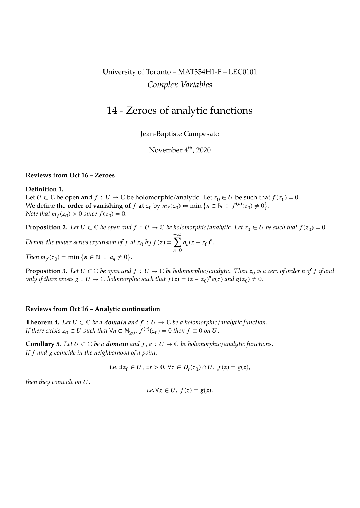# University of Toronto – MAT334H1-F – LEC0101 *Complex Variables*

# 14 - Zeroes of analytic functions

Jean-Baptiste Campesato

November 4<sup>th</sup>, 2020

### **Reviews from Oct 16 – Zeroes**

## **Definition 1.**

Let  $U \subset \mathbb{C}$  be open and  $f : U \to \mathbb{C}$  be holomorphic/analytic. Let  $z_0 \in U$  be such that  $f(z_0) = 0$ . We define the **order of vanishing of**  $f$  **at**  $z_0$  by  $m_f(z_0) \coloneqq \min \big\{ n \in \mathbb{N} \ : \ f^{(n)}(z_0) \neq 0 \big\}$ . *Note that*  $m_f(z_0) > 0$  *since*  $f(z_0) = 0$ *.* 

**Proposition 2.** Let  $U \subset \mathbb{C}$  be open and  $f : U \to \mathbb{C}$  be holomorphic/analytic. Let  $z_0 \in U$  be such that  $f(z_0) = 0$ . *Denote the power series expansion of f at*  $z_0$  by  $f(z)$  = +∞  $\sum_{n=0}$  $a_n(z - z_0)^n$ .

*Then*  $m_f(z_0) = \min \{ n \in \mathbb{N} : a_n \neq 0 \}.$ 

**Proposition 3.** Let  $U\subset\mathbb{C}$  be open and  $f\,:\,U\to\mathbb{C}$  be holomorphic/analytic. Then  $z_0$  is a zero of order n of  $f$  if and *only if there exists*  $g: U \to \mathbb{C}$  *holomorphic such that*  $f(z) = (z - z_0)^n g(z)$  *and*  $g(z_0) \neq 0$ *.* 

## **Reviews from Oct 16 – Analytic continuation**

<span id="page-0-0"></span>**Theorem 4.** Let  $U \subset \mathbb{C}$  be a **domain** and  $f : U \to \mathbb{C}$  be a holomorphic/analytic function. *If there exists*  $z_0 \in U$  such that  $\forall n \in \mathbb{N}_{\geq 0}$ ,  $f^{(n)}(z_0) = 0$  then  $f \equiv 0$  on  $U$ .

**Corollary 5.** Let  $U \subset \mathbb{C}$  be a **domain** and  $f, g : U \to \mathbb{C}$  be holomorphic/analytic functions. *If and coincide in the neighborhood of a point,*

i.e. ∃ $z_0$  ∈ U, ∃r > 0,  $\forall z \in D_r(z_0) \cap U$ ,  $f(z) = g(z)$ ,

*then they coincide on U,* 

i.e. 
$$
\forall z \in U
$$
,  $f(z) = g(z)$ .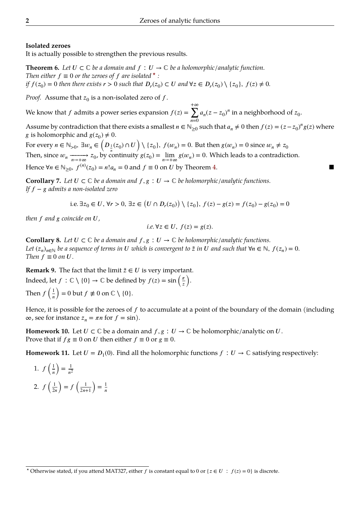# **Isolated zeroes**

It is actually possible to strengthen the previous results.

**Theorem 6.** Let  $U \subset \mathbb{C}$  be a domain and  $f : U \to \mathbb{C}$  be a holomorphic/analytic function. *Then either*  $f \equiv 0$  *or the zeroes of*  $f$  *are isolated*  $\star$  *: if*  $f(z_0) = 0$  *then there exists*  $r > 0$  *such that*  $D_r(z_0) \subset U$  *and*  $\forall z \in D_r(z_0) \setminus \{z_0\}$ ,  $f(z) \neq 0$ .

*Proof.* Assume that  $z_0$  is a non-isolated zero of  $f$ .

We know that  $f$  admits a power series expansion  $f(z)$  = +∞  $\sum_{n=0}$  $a_n(z-z_0)^n$  in a neighborhood of  $z_0$ .

Assume by contradiction that there exists a smallest  $n \in \mathbb{N}_{\geq 0}$  such that  $a_n \neq 0$  then  $f(z) = (z - z_0)^n g(z)$  where g is holomorphic and  $g(z_0) \neq 0$ .

For every  $n \in \mathbb{N}_{>0}$ ,  $\exists w_n \in \left(D_{\frac{1}{n}}(z_0) \cap U\right) \setminus \{z_0\}$ ,  $f(w_n) = 0$ . But then  $g(w_n) = 0$  since  $w_n \neq z_0$ Then, since  $w_n \xrightarrow[n \to +\infty]{} z_0$ , by continuity  $g(z_0) = \lim_{n \to +\infty} g(w_n) = 0$ . Which leads to a contradiction. Hence  $\forall n \in \mathbb{N}_{\geq 0}$ ,  $f^{(n)}(z_0) = n! a_n = 0$  and  $f \equiv 0$  on  $U$  by Theorem 4.

**Corollary 7.** Let  $U \subset \mathbb{C}$  be a domain and  $f, g : U \to \mathbb{C}$  be holomorphic/analytic functions. *If* − *admits a non-isolated zero*

i.e. 
$$
\exists z_0 \in U, \forall r > 0, \exists z \in (U \cap D_r(z_0)) \setminus \{z_0\}, f(z) - g(z) = f(z_0) - g(z_0) = 0
$$

*then*  $f$  and  $g$  coincide on  $U$ ,

i.e. 
$$
\forall z \in U
$$
,  $f(z) = g(z)$ .

**Corollary 8.** Let  $U \subset \mathbb{C}$  *be a domain and*  $f, g : U \to \mathbb{C}$  *be holomorphic/analytic functions.* Let  $(z_n)_{n\in\mathbb{N}}$  be a sequence of terms in U which is convergent to  $\tilde{z}$  in U and such that  $\forall n\in\mathbb{N}$ ,  $f(z_n)=0$ . *Then*  $f \equiv 0$  *on*  $U$ *.* 

**Remark 9.** The fact that the limit  $\tilde{z} \in U$  is very important. Indeed, let  $f : \mathbb{C} \setminus \{0\} \to \mathbb{C}$  be defined by  $f(z) = \sin\left(\frac{\pi}{z}\right)$ . Then  $f\left(\frac{1}{n}\right) = 0$  but  $f \not\equiv 0$  on  $\mathbb{C} \setminus \{0\}.$ 

Hence, it is possible for the zeroes of  $f$  to accumulate at a point of the boundary of the domain (including  $\infty$ , see for instance  $z_n = \pi n$  for  $f = \sin$ ).

**Homework 10.** Let  $U \subset \mathbb{C}$  be a domain and  $f, g : U \to \mathbb{C}$  be holomorphic/analytic on  $U$ . Prove that if  $fg \equiv 0$  on U then either  $f \equiv 0$  or  $g \equiv 0$ .

**Homework 11.** Let  $U = D_1(0)$ . Find all the holomorphic functions  $f : U \to \mathbb{C}$  satisfying respectively:

1. 
$$
f\left(\frac{1}{n}\right) = \frac{1}{n^2}
$$
  
2.  $f\left(\frac{1}{2n}\right) = f\left(\frac{1}{2n+1}\right) = \frac{1}{n}$ 

**<sup>★</sup> Otherwise stated, if you attend MAT327, either f is constant equal to 0 or {** $z \in U$  **:**  $f(z) = 0$ **} is discrete.**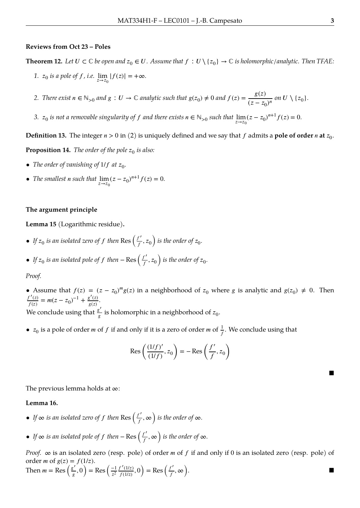#### **Reviews from Oct 23 – Poles**

**Theorem 12.** Let  $U\subset\mathbb{C}$  be open and  $z_0\in U$ . Assume that  $f:U\setminus\{z_0\}\to\mathbb{C}$  is holomorphic/analytic. Then TFAE:

*1.*  $z_0$  *is a pole of f, i.e.*  $\lim_{z \to z_0} |f(z)| = +\infty$ *.* 

2. *There exist*  $n \in \mathbb{N}_{>0}$  and  $g: U \to \mathbb{C}$  analytic such that  $g(z_0) \neq 0$  and  $f(z) = \frac{g(z)}{(z-z_0)^2}$  $\frac{s^{(2)}}{(z-z_0)^n}$  on  $U \setminus \{z_0\}.$ 

*3.*  $z_0$  *is not a removable singularity of*  $f$  *and there exists*  $n \in \mathbb{N}_{>0}$  *such that*  $\lim_{z \to z_0} (z - z_0)^{n+1} f(z) = 0$ .

**Definition 13.** The integer  $n > 0$  in (2) is uniquely defined and we say that  $f$  admits a **pole of order**  $n$  **at**  $z_0$ . **Proposition 14.** The order of the pole  $z_0$  is also:

- The order of vanishing of  $1/f$  at  $z_0$ .
- *The smallest n such that*  $\lim_{z \to z_0} (z z_0)^{n+1} f(z) = 0.$

## **The argument principle**

**Lemma 15** (Logarithmic residue)**.**

- If  $z_0$  *is an isolated zero of*  $f$  *then* Res  $\left(\frac{f'}{f}\right)$  $\frac{d}{dt}$ ,  $z_0$  ) is the order of  $z_0$ .
- If  $z_0$  *is an isolated pole of*  $f$  *then* − Res  $\left(\frac{f'}{f}\right)$  $\frac{d}{dt}$ ,  $z_0$  ) is the order of  $z_0$ .

# *Proof.*

• Assume that  $f(z) = (z - z_0)^m g(z)$  in a neighborhood of  $z_0$  where g is analytic and  $g(z_0) \neq 0$ . Then  $\frac{f'(z)}{f(z)} = m(z - z_0)^{-1} + \frac{g'(z)}{g(z)}.$ We conclude using that  $\frac{g'}{g}$  $\frac{g}{g}$  is holomorphic in a neighborhood of  $z_0$ .

•  $z_0$  is a pole of order *m* of *f* if and only if it is a zero of order *m* of  $\frac{1}{f}$ . We conclude using that

$$
\operatorname{Res}\left(\frac{(1/f)'}{(1/f)}, z_0\right) = -\operatorname{Res}\left(\frac{f'}{f}, z_0\right)
$$

The previous lemma holds at ∞:

# **Lemma 16.**

- If  $\infty$  *is an isolated zero of f then* Res  $\left(\frac{f'}{f}\right)$  $\int_{f}^{L}$ ,  $\infty$   $\int$  *is the order of*  $\infty$ *.*
- *If*  $\infty$  *is an isolated pole of f then* Res  $\left(\frac{f'}{f}\right)$  $\left(\frac{f}{f}, \infty\right)$  is the order of  $\infty$ *.*

*Proof.*  $\infty$  is an isolated zero (resp. pole) of order *m* of *f* if and only if 0 is an isolated zero (resp. pole) of order *m* of  $g(z) = f(1/z)$ . ′ ′ ′

Then 
$$
m = \text{Res}\left(\frac{g'}{g}, 0\right) = \text{Res}\left(\frac{-1}{z^2} \frac{f'(1/z)}{f(1/z)}, 0\right) = \text{Res}\left(\frac{f'}{f}, \infty\right).
$$

■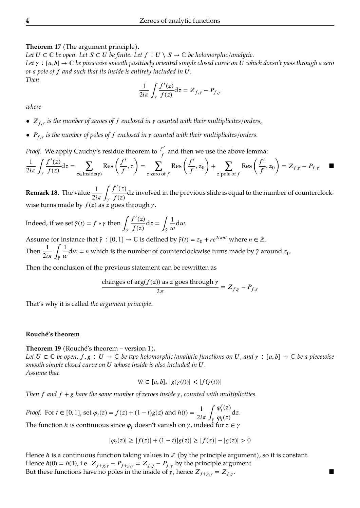## **Theorem 17** (The argument principle)**.**

Let  $U \subset \mathbb{C}$  be open. Let  $S \subset U$  be finite. Let  $f : U \setminus S \to \mathbb{C}$  be holomorphic/analytic. *Let*  $\gamma : [a, b] \to \mathbb{C}$  *be piecewise smooth positively oriented simple closed curve on U which doesn't pass through a zero or a pole of f and such that its inside is entirely included in U.* 

$$
\frac{1}{2i\pi} \int_{\gamma} \frac{f'(z)}{f(z)} dz = Z_{f,\gamma} - P_{f,\gamma}
$$

*where*

*Then*

- $Z_{f,y}$  *is the number of zeroes of f enclosed in*  $\gamma$  *counted with their multiplicites/orders,*
- $P_{f,y}$  is the number of poles of f enclosed in  $\gamma$  counted with their multiplicites/orders.

*Proof.* We apply Cauchy's residue theorem to  $\frac{f'}{f}$  $\frac{\sqrt{a}}{f}$  and then we use the above lemma:

$$
\frac{1}{2i\pi} \int_{\gamma} \frac{f'(z)}{f(z)} dz = \sum_{z \in \text{Inside}(\gamma)} \text{Res}\left(\frac{f'}{f}, z\right) = \sum_{z \text{ zero of } f} \text{Res}\left(\frac{f'}{f}, z_0\right) + \sum_{z \text{ pole of } f} \text{Res}\left(\frac{f'}{f}, z_0\right) = Z_{f, \gamma} - P_{f, \gamma} \quad \blacksquare
$$

**Remark 18.** The value  $\frac{1}{2}$  $2i\pi \int_{\gamma}$  $f'(z)$  $\frac{d}{dx} \frac{d}{dx}$  involved in the previous slide is equal to the number of counterclockwise turns made by  $f(z)$  as  $\overline{z}$  goes through  $\gamma$ .

Indeed, if we set  $\tilde{\gamma}(t) = f \circ \gamma$  then  $\int_{\gamma} \frac{f'(z)}{f(z)}$  $\frac{f'(z)}{f(z)}dz = \int_{\tilde{\gamma}} \frac{1}{u}$  $\frac{1}{w}dw$ .

Assume for instance that  $\tilde{\gamma} : [0, 1] \to \mathbb{C}$  is defined by  $\tilde{\gamma}(t) = z_0 + re^{2i\pi nt}$  where  $n \in \mathbb{Z}$ . Then  $\frac{1}{2}$ 1

 $2i\pi$   $\int_{\tilde{\gamma}}$  $\frac{1}{w}$ d $w = n$  which is the number of counterclockwise turns made by  $\tilde{\gamma}$  around  $z_0$ .

Then the conclusion of the previous statement can be rewritten as

changes of 
$$
\arg(f(z))
$$
 as  $z$  goes through  $\gamma$   

$$
2\pi = Z_{f,\gamma} - P_{f,\gamma}
$$

That's why it is called *the argument principle*.

# **Rouché's theorem**

**Theorem 19** (Rouché's theorem – version 1)**.**

*Let*  $U \subset \mathbb{C}$  *be open,*  $f, g : U \to \mathbb{C}$  *be two holomorphic/analytic functions on*  $U$ *, and*  $\gamma : [a, b] \to \mathbb{C}$  *be a piecewise smooth simple closed curve on*  $U$  whose inside is also included in  $U$ . *Assume that*

$$
\forall t \in [a, b], \, |g(\gamma(t))| < |f(\gamma(t))|
$$

*Then*  $f$  and  $f + g$  have the same number of zeroes inside  $\gamma$ , counted with multiplicities.

*Proof.* For  $t \in [0, 1]$ , set  $\varphi_t(z) = f(z) + (1 - t)g(z)$  and  $h(t) = \frac{1}{2i}$  $2i\pi \int_{\gamma}$  $\varphi'_t(z)$  $\frac{\partial f(z)}{\partial q(z)}dz$ . The function *h* is continuous since  $\varphi_t$  doesn't vanish on  $\gamma$ , indeed for  $z \in \gamma$ 

$$
|\varphi_t(z)| \ge |f(z)| + (1-t)|g(z)| \ge |f(z)| - |g(z)| > 0
$$

Hence  $h$  is a continuous function taking values in  $\mathbb Z$  (by the principle argument), so it is constant. Hence  $h(0) = h(1)$ , i.e.  $Z_{f+g,\gamma} - P_{f+g,\gamma} = Z_{f,\gamma} - P_{f,\gamma}$  by the principle argument. But these functions have no poles in the inside of  $\gamma$ , hence  $Z_{f+g,\gamma} = Z_{f,\gamma}$ .